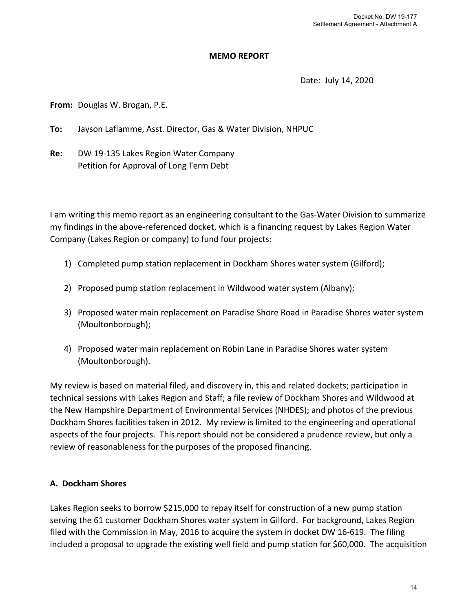#### **MEMO REPORT**

Date: July 14, 2020

From: Douglas W. Brogan, P.E.

**To:** Jayson Laflamme, Asst. Director, Gas & Water Division, NHPUC

**Re:** DW 19‐135 Lakes Region Water Company Petition for Approval of Long Term Debt

I am writing this memo report as an engineering consultant to the Gas‐Water Division to summarize my findings in the above‐referenced docket, which is a financing request by Lakes Region Water Company (Lakes Region or company) to fund four projects:

- 1) Completed pump station replacement in Dockham Shores water system (Gilford);
- 2) Proposed pump station replacement in Wildwood water system (Albany);
- 3) Proposed water main replacement on Paradise Shore Road in Paradise Shores water system (Moultonborough);
- 4) Proposed water main replacement on Robin Lane in Paradise Shores water system (Moultonborough).

My review is based on material filed, and discovery in, this and related dockets; participation in technical sessions with Lakes Region and Staff; a file review of Dockham Shores and Wildwood at the New Hampshire Department of Environmental Services (NHDES); and photos of the previous Dockham Shores facilities taken in 2012. My review is limited to the engineering and operational aspects of the four projects. This report should not be considered a prudence review, but only a review of reasonableness for the purposes of the proposed financing.

# **A. Dockham Shores**

Lakes Region seeks to borrow \$215,000 to repay itself for construction of a new pump station serving the 61 customer Dockham Shores water system in Gilford. For background, Lakes Region filed with the Commission in May, 2016 to acquire the system in docket DW 16‐619. The filing included a proposal to upgrade the existing well field and pump station for \$60,000. The acquisition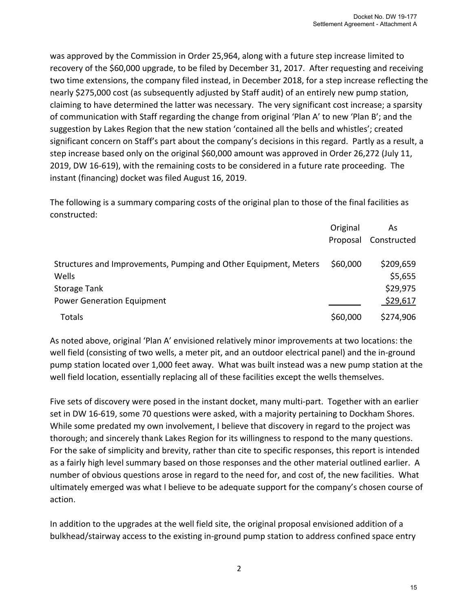was approved by the Commission in Order 25,964, along with a future step increase limited to recovery of the \$60,000 upgrade, to be filed by December 31, 2017. After requesting and receiving two time extensions, the company filed instead, in December 2018, for a step increase reflecting the nearly \$275,000 cost (as subsequently adjusted by Staff audit) of an entirely new pump station, claiming to have determined the latter was necessary. The very significant cost increase; a sparsity of communication with Staff regarding the change from original 'Plan A' to new 'Plan B'; and the suggestion by Lakes Region that the new station 'contained all the bells and whistles'; created significant concern on Staff's part about the company's decisions in this regard. Partly as a result, a step increase based only on the original \$60,000 amount was approved in Order 26,272 (July 11, 2019, DW 16‐619), with the remaining costs to be considered in a future rate proceeding. The instant (financing) docket was filed August 16, 2019.

The following is a summary comparing costs of the original plan to those of the final facilities as constructed:

|                                                                  | Original | As          |
|------------------------------------------------------------------|----------|-------------|
|                                                                  | Proposal | Constructed |
| Structures and Improvements, Pumping and Other Equipment, Meters | \$60,000 | \$209,659   |
| Wells                                                            |          | \$5,655     |
| <b>Storage Tank</b>                                              |          | \$29,975    |
| <b>Power Generation Equipment</b>                                |          | \$29,617    |
| Totals                                                           | \$60,000 | \$274,906   |

As noted above, original 'Plan A' envisioned relatively minor improvements at two locations: the well field (consisting of two wells, a meter pit, and an outdoor electrical panel) and the in‐ground pump station located over 1,000 feet away. What was built instead was a new pump station at the well field location, essentially replacing all of these facilities except the wells themselves.

Five sets of discovery were posed in the instant docket, many multi‐part. Together with an earlier set in DW 16‐619, some 70 questions were asked, with a majority pertaining to Dockham Shores. While some predated my own involvement, I believe that discovery in regard to the project was thorough; and sincerely thank Lakes Region for its willingness to respond to the many questions. For the sake of simplicity and brevity, rather than cite to specific responses, this report is intended as a fairly high level summary based on those responses and the other material outlined earlier. A number of obvious questions arose in regard to the need for, and cost of, the new facilities. What ultimately emerged was what I believe to be adequate support for the company's chosen course of action.

In addition to the upgrades at the well field site, the original proposal envisioned addition of a bulkhead/stairway access to the existing in‐ground pump station to address confined space entry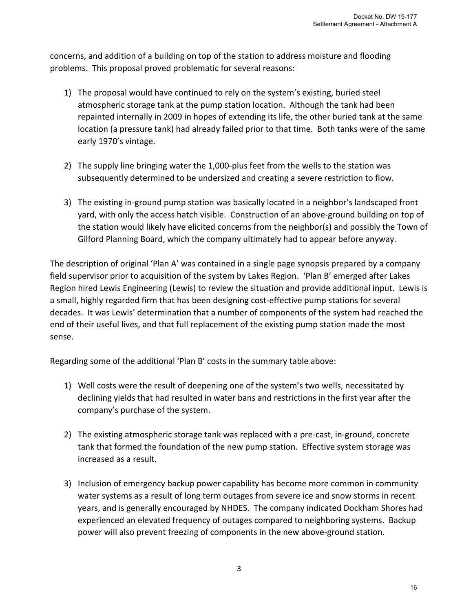concerns, and addition of a building on top of the station to address moisture and flooding problems. This proposal proved problematic for several reasons:

- 1) The proposal would have continued to rely on the system's existing, buried steel atmospheric storage tank at the pump station location. Although the tank had been repainted internally in 2009 in hopes of extending its life, the other buried tank at the same location (a pressure tank) had already failed prior to that time. Both tanks were of the same early 1970's vintage.
- 2) The supply line bringing water the 1,000-plus feet from the wells to the station was subsequently determined to be undersized and creating a severe restriction to flow.
- 3) The existing in‐ground pump station was basically located in a neighbor's landscaped front yard, with only the access hatch visible. Construction of an above-ground building on top of the station would likely have elicited concerns from the neighbor(s) and possibly the Town of Gilford Planning Board, which the company ultimately had to appear before anyway.

The description of original 'Plan A' was contained in a single page synopsis prepared by a company field supervisor prior to acquisition of the system by Lakes Region. 'Plan B' emerged after Lakes Region hired Lewis Engineering (Lewis) to review the situation and provide additional input. Lewis is a small, highly regarded firm that has been designing cost-effective pump stations for several decades. It was Lewis' determination that a number of components of the system had reached the end of their useful lives, and that full replacement of the existing pump station made the most sense.

Regarding some of the additional 'Plan B' costs in the summary table above:

- 1) Well costs were the result of deepening one of the system's two wells, necessitated by declining yields that had resulted in water bans and restrictions in the first year after the company's purchase of the system.
- 2) The existing atmospheric storage tank was replaced with a pre-cast, in-ground, concrete tank that formed the foundation of the new pump station. Effective system storage was increased as a result.
- 3) Inclusion of emergency backup power capability has become more common in community water systems as a result of long term outages from severe ice and snow storms in recent years, and is generally encouraged by NHDES. The company indicated Dockham Shores had experienced an elevated frequency of outages compared to neighboring systems. Backup power will also prevent freezing of components in the new above‐ground station.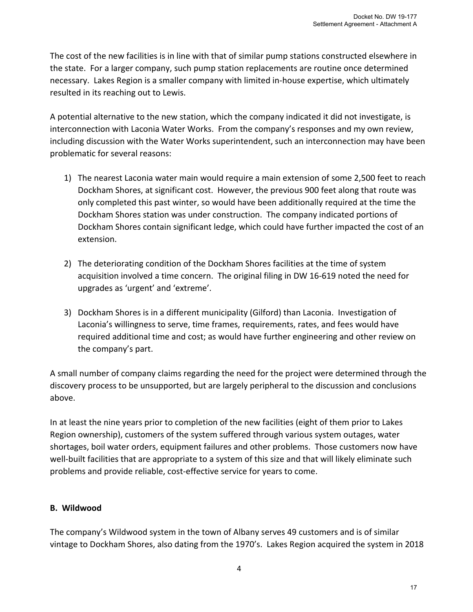The cost of the new facilities is in line with that of similar pump stations constructed elsewhere in the state. For a larger company, such pump station replacements are routine once determined necessary. Lakes Region is a smaller company with limited in‐house expertise, which ultimately resulted in its reaching out to Lewis.

A potential alternative to the new station, which the company indicated it did not investigate, is interconnection with Laconia Water Works. From the company's responses and my own review, including discussion with the Water Works superintendent, such an interconnection may have been problematic for several reasons:

- 1) The nearest Laconia water main would require a main extension of some 2,500 feet to reach Dockham Shores, at significant cost. However, the previous 900 feet along that route was only completed this past winter, so would have been additionally required at the time the Dockham Shores station was under construction. The company indicated portions of Dockham Shores contain significant ledge, which could have further impacted the cost of an extension.
- 2) The deteriorating condition of the Dockham Shores facilities at the time of system acquisition involved a time concern. The original filing in DW 16‐619 noted the need for upgrades as 'urgent' and 'extreme'.
- 3) Dockham Shores is in a different municipality (Gilford) than Laconia. Investigation of Laconia's willingness to serve, time frames, requirements, rates, and fees would have required additional time and cost; as would have further engineering and other review on the company's part.

A small number of company claims regarding the need for the project were determined through the discovery process to be unsupported, but are largely peripheral to the discussion and conclusions above.

In at least the nine years prior to completion of the new facilities (eight of them prior to Lakes Region ownership), customers of the system suffered through various system outages, water shortages, boil water orders, equipment failures and other problems. Those customers now have well-built facilities that are appropriate to a system of this size and that will likely eliminate such problems and provide reliable, cost-effective service for years to come.

# **B. Wildwood**

The company's Wildwood system in the town of Albany serves 49 customers and is of similar vintage to Dockham Shores, also dating from the 1970's. Lakes Region acquired the system in 2018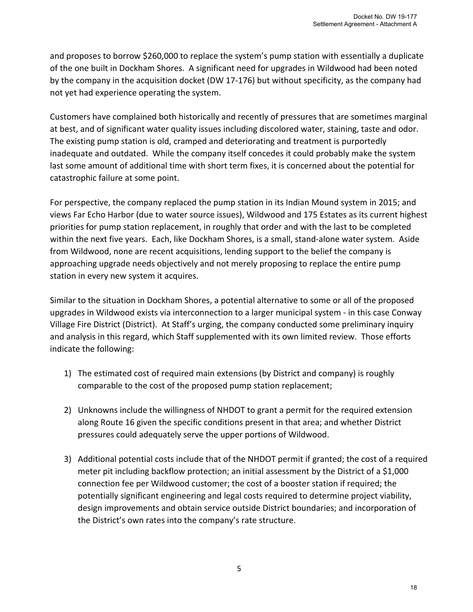and proposes to borrow \$260,000 to replace the system's pump station with essentially a duplicate of the one built in Dockham Shores. A significant need for upgrades in Wildwood had been noted by the company in the acquisition docket (DW 17‐176) but without specificity, as the company had not yet had experience operating the system.

Customers have complained both historically and recently of pressures that are sometimes marginal at best, and of significant water quality issues including discolored water, staining, taste and odor. The existing pump station is old, cramped and deteriorating and treatment is purportedly inadequate and outdated. While the company itself concedes it could probably make the system last some amount of additional time with short term fixes, it is concerned about the potential for catastrophic failure at some point.

For perspective, the company replaced the pump station in its Indian Mound system in 2015; and views Far Echo Harbor (due to water source issues), Wildwood and 175 Estates as its current highest priorities for pump station replacement, in roughly that order and with the last to be completed within the next five years. Each, like Dockham Shores, is a small, stand-alone water system. Aside from Wildwood, none are recent acquisitions, lending support to the belief the company is approaching upgrade needs objectively and not merely proposing to replace the entire pump station in every new system it acquires.

Similar to the situation in Dockham Shores, a potential alternative to some or all of the proposed upgrades in Wildwood exists via interconnection to a larger municipal system ‐ in this case Conway Village Fire District (District). At Staff's urging, the company conducted some preliminary inquiry and analysis in this regard, which Staff supplemented with its own limited review. Those efforts indicate the following:

- 1) The estimated cost of required main extensions (by District and company) is roughly comparable to the cost of the proposed pump station replacement;
- 2) Unknowns include the willingness of NHDOT to grant a permit for the required extension along Route 16 given the specific conditions present in that area; and whether District pressures could adequately serve the upper portions of Wildwood.
- 3) Additional potential costs include that of the NHDOT permit if granted; the cost of a required meter pit including backflow protection; an initial assessment by the District of a \$1,000 connection fee per Wildwood customer; the cost of a booster station if required; the potentially significant engineering and legal costs required to determine project viability, design improvements and obtain service outside District boundaries; and incorporation of the District's own rates into the company's rate structure.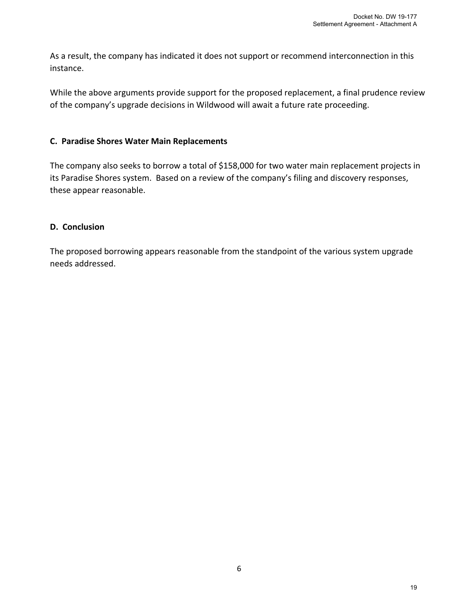As a result, the company has indicated it does not support or recommend interconnection in this instance.

While the above arguments provide support for the proposed replacement, a final prudence review of the company's upgrade decisions in Wildwood will await a future rate proceeding.

### **C. Paradise Shores Water Main Replacements**

The company also seeks to borrow a total of \$158,000 for two water main replacement projects in its Paradise Shores system. Based on a review of the company's filing and discovery responses, these appear reasonable.

# **D. Conclusion**

The proposed borrowing appears reasonable from the standpoint of the various system upgrade needs addressed.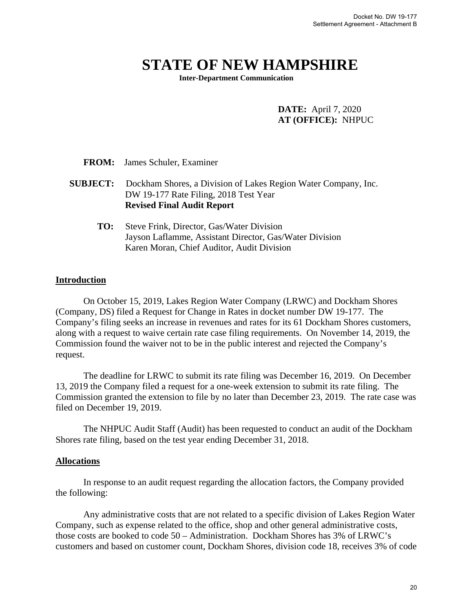# **STATE OF NEW HAMPSHIRE**

**Inter-Department Communication**

#### **DATE:** April 7, 2020 **AT (OFFICE):** NHPUC

|                 | <b>FROM:</b> James Schuler, Examiner                                                                                                               |
|-----------------|----------------------------------------------------------------------------------------------------------------------------------------------------|
| <b>SUBJECT:</b> | Dockham Shores, a Division of Lakes Region Water Company, Inc.<br>DW 19-177 Rate Filing, 2018 Test Year<br><b>Revised Final Audit Report</b>       |
| TO:             | Steve Frink, Director, Gas/Water Division<br>Jayson Laflamme, Assistant Director, Gas/Water Division<br>Karen Moran, Chief Auditor, Audit Division |

#### **Introduction**

On October 15, 2019, Lakes Region Water Company (LRWC) and Dockham Shores (Company, DS) filed a Request for Change in Rates in docket number DW 19-177. The Company's filing seeks an increase in revenues and rates for its 61 Dockham Shores customers, along with a request to waive certain rate case filing requirements. On November 14, 2019, the Commission found the waiver not to be in the public interest and rejected the Company's request.

The deadline for LRWC to submit its rate filing was December 16, 2019. On December 13, 2019 the Company filed a request for a one-week extension to submit its rate filing. The Commission granted the extension to file by no later than December 23, 2019. The rate case was filed on December 19, 2019.

The NHPUC Audit Staff (Audit) has been requested to conduct an audit of the Dockham Shores rate filing, based on the test year ending December 31, 2018.

#### **Allocations**

In response to an audit request regarding the allocation factors, the Company provided the following:

Any administrative costs that are not related to a specific division of Lakes Region Water Company, such as expense related to the office, shop and other general administrative costs, those costs are booked to code 50 – Administration. Dockham Shores has 3% of LRWC's customers and based on customer count, Dockham Shores, division code 18, receives 3% of code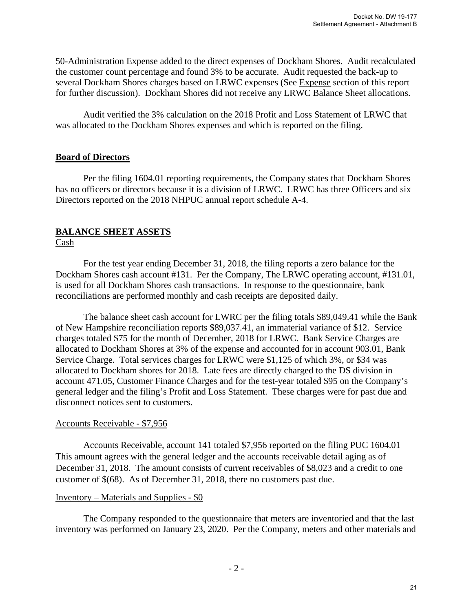50-Administration Expense added to the direct expenses of Dockham Shores. Audit recalculated the customer count percentage and found 3% to be accurate. Audit requested the back-up to several Dockham Shores charges based on LRWC expenses (See Expense section of this report for further discussion). Dockham Shores did not receive any LRWC Balance Sheet allocations.

Audit verified the 3% calculation on the 2018 Profit and Loss Statement of LRWC that was allocated to the Dockham Shores expenses and which is reported on the filing.

### **Board of Directors**

 Per the filing 1604.01 reporting requirements, the Company states that Dockham Shores has no officers or directors because it is a division of LRWC. LRWC has three Officers and six Directors reported on the 2018 NHPUC annual report schedule A-4.

# **BALANCE SHEET ASSETS**

# Cash

 For the test year ending December 31, 2018, the filing reports a zero balance for the Dockham Shores cash account #131. Per the Company, The LRWC operating account, #131.01, is used for all Dockham Shores cash transactions. In response to the questionnaire, bank reconciliations are performed monthly and cash receipts are deposited daily.

The balance sheet cash account for LWRC per the filing totals \$89,049.41 while the Bank of New Hampshire reconciliation reports \$89,037.41, an immaterial variance of \$12. Service charges totaled \$75 for the month of December, 2018 for LRWC. Bank Service Charges are allocated to Dockham Shores at 3% of the expense and accounted for in account 903.01, Bank Service Charge. Total services charges for LRWC were \$1,125 of which 3%, or \$34 was allocated to Dockham shores for 2018. Late fees are directly charged to the DS division in account 471.05, Customer Finance Charges and for the test-year totaled \$95 on the Company's general ledger and the filing's Profit and Loss Statement. These charges were for past due and disconnect notices sent to customers.

### Accounts Receivable - \$7,956

Accounts Receivable, account 141 totaled \$7,956 reported on the filing PUC 1604.01 This amount agrees with the general ledger and the accounts receivable detail aging as of December 31, 2018. The amount consists of current receivables of \$8,023 and a credit to one customer of \$(68). As of December 31, 2018, there no customers past due.

#### Inventory – Materials and Supplies - \$0

The Company responded to the questionnaire that meters are inventoried and that the last inventory was performed on January 23, 2020. Per the Company, meters and other materials and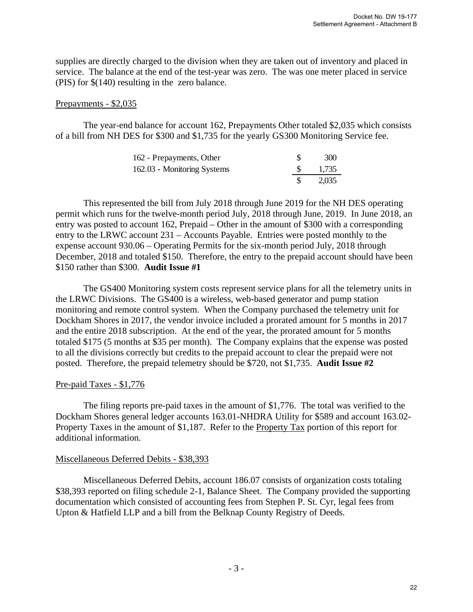supplies are directly charged to the division when they are taken out of inventory and placed in service. The balance at the end of the test-year was zero. The was one meter placed in service (PIS) for \$(140) resulting in the zero balance.

#### Prepayments - \$2,035

The year-end balance for account 162, Prepayments Other totaled \$2,035 which consists of a bill from NH DES for \$300 and \$1,735 for the yearly GS300 Monitoring Service fee.

| 162 - Prepayments, Other    | 300   |
|-----------------------------|-------|
| 162.03 - Monitoring Systems | 1,735 |
|                             | 2.035 |

 This represented the bill from July 2018 through June 2019 for the NH DES operating permit which runs for the twelve-month period July, 2018 through June, 2019. In June 2018, an entry was posted to account 162, Prepaid – Other in the amount of \$300 with a corresponding entry to the LRWC account 231 – Accounts Payable. Entries were posted monthly to the expense account 930.06 – Operating Permits for the six-month period July, 2018 through December, 2018 and totaled \$150. Therefore, the entry to the prepaid account should have been \$150 rather than \$300. **Audit Issue #1**

The GS400 Monitoring system costs represent service plans for all the telemetry units in the LRWC Divisions. The GS400 is a wireless, web-based generator and pump station monitoring and remote control system. When the Company purchased the telemetry unit for Dockham Shores in 2017, the vendor invoice included a prorated amount for 5 months in 2017 and the entire 2018 subscription. At the end of the year, the prorated amount for 5 months totaled \$175 (5 months at \$35 per month). The Company explains that the expense was posted to all the divisions correctly but credits to the prepaid account to clear the prepaid were not posted. Therefore, the prepaid telemetry should be \$720, not \$1,735. **Audit Issue #2**

#### Pre-paid Taxes - \$1,776

The filing reports pre-paid taxes in the amount of \$1,776. The total was verified to the Dockham Shores general ledger accounts 163.01-NHDRA Utility for \$589 and account 163.02- Property Taxes in the amount of \$1,187. Refer to the Property Tax portion of this report for additional information.

#### Miscellaneous Deferred Debits - \$38,393

 Miscellaneous Deferred Debits, account 186.07 consists of organization costs totaling \$38,393 reported on filing schedule 2-1, Balance Sheet. The Company provided the supporting documentation which consisted of accounting fees from Stephen P. St. Cyr, legal fees from Upton & Hatfield LLP and a bill from the Belknap County Registry of Deeds.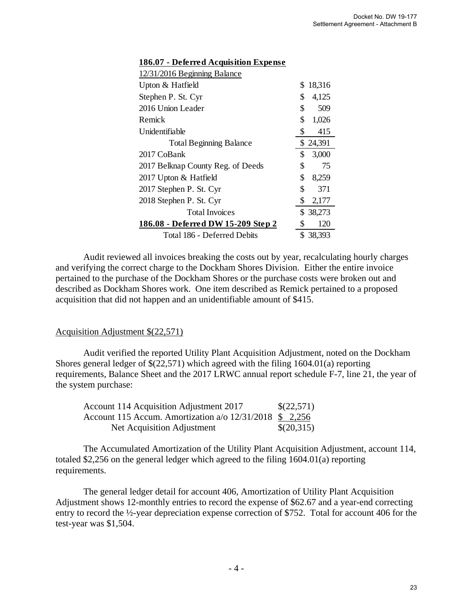| 12/31/2016 Beginning Balance       |              |
|------------------------------------|--------------|
| Upton & Hatfield                   | \$<br>18,316 |
| Stephen P. St. Cyr                 | \$<br>4,125  |
| 2016 Union Leader                  | \$<br>509    |
| Remick                             | \$<br>1,026  |
| Unidentifiable                     | \$<br>415    |
| <b>Total Beginning Balance</b>     | \$24,391     |
| 2017 CoBank                        | \$<br>3,000  |
| 2017 Belknap County Reg. of Deeds  | \$<br>75     |
| 2017 Upton & Hatfield              | \$<br>8,259  |
| 2017 Stephen P. St. Cyr            | \$<br>371    |
| 2018 Stephen P. St. Cyr            | \$<br>2,177  |
| <b>Total Invoices</b>              | \$ 38,273    |
| 186.08 - Deferred DW 15-209 Step 2 | \$<br>120    |
| Total 186 - Deferred Debits        | \$38,393     |

#### **186.07 - Deferred Acquisition Expense**

Audit reviewed all invoices breaking the costs out by year, recalculating hourly charges and verifying the correct charge to the Dockham Shores Division. Either the entire invoice pertained to the purchase of the Dockham Shores or the purchase costs were broken out and described as Dockham Shores work. One item described as Remick pertained to a proposed acquisition that did not happen and an unidentifiable amount of \$415.

#### Acquisition Adjustment \$(22,571)

Audit verified the reported Utility Plant Acquisition Adjustment, noted on the Dockham Shores general ledger of \$(22,571) which agreed with the filing 1604.01(a) reporting requirements, Balance Sheet and the 2017 LRWC annual report schedule F-7, line 21, the year of the system purchase:

| Account 114 Acquisition Adjustment 2017                        | \$(22,571) |
|----------------------------------------------------------------|------------|
| Account 115 Accum. Amortization $a/\sigma$ 12/31/2018 \$ 2.256 |            |
| Net Acquisition Adjustment                                     | \$(20,315) |

The Accumulated Amortization of the Utility Plant Acquisition Adjustment, account 114, totaled \$2,256 on the general ledger which agreed to the filing 1604.01(a) reporting requirements.

The general ledger detail for account 406, Amortization of Utility Plant Acquisition Adjustment shows 12-monthly entries to record the expense of \$62.67 and a year-end correcting entry to record the ½-year depreciation expense correction of \$752. Total for account 406 for the test-year was \$1,504.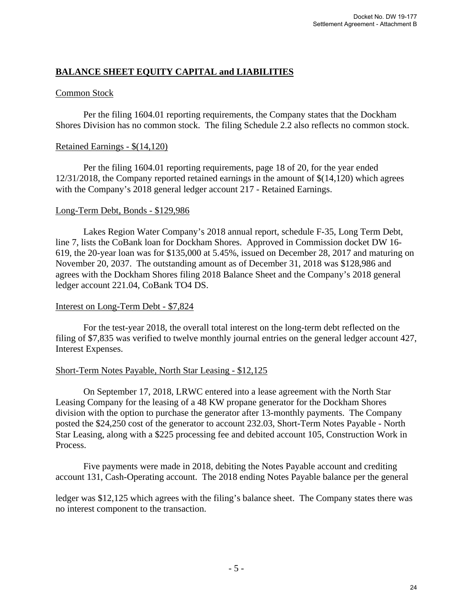# **BALANCE SHEET EQUITY CAPITAL and LIABILITIES**

# Common Stock

 Per the filing 1604.01 reporting requirements, the Company states that the Dockham Shores Division has no common stock. The filing Schedule 2.2 also reflects no common stock.

#### Retained Earnings - \$(14,120)

Per the filing 1604.01 reporting requirements, page 18 of 20, for the year ended 12/31/2018, the Company reported retained earnings in the amount of \$(14,120) which agrees with the Company's 2018 general ledger account 217 - Retained Earnings.

#### Long-Term Debt, Bonds - \$129,986

 Lakes Region Water Company's 2018 annual report, schedule F-35, Long Term Debt, line 7, lists the CoBank loan for Dockham Shores. Approved in Commission docket DW 16- 619, the 20-year loan was for \$135,000 at 5.45%, issued on December 28, 2017 and maturing on November 20, 2037. The outstanding amount as of December 31, 2018 was \$128,986 and agrees with the Dockham Shores filing 2018 Balance Sheet and the Company's 2018 general ledger account 221.04, CoBank TO4 DS.

#### Interest on Long-Term Debt - \$7,824

For the test-year 2018, the overall total interest on the long-term debt reflected on the filing of \$7,835 was verified to twelve monthly journal entries on the general ledger account 427, Interest Expenses.

#### Short-Term Notes Payable, North Star Leasing - \$12,125

 On September 17, 2018, LRWC entered into a lease agreement with the North Star Leasing Company for the leasing of a 48 KW propane generator for the Dockham Shores division with the option to purchase the generator after 13-monthly payments. The Company posted the \$24,250 cost of the generator to account 232.03, Short-Term Notes Payable - North Star Leasing, along with a \$225 processing fee and debited account 105, Construction Work in Process.

 Five payments were made in 2018, debiting the Notes Payable account and crediting account 131, Cash-Operating account. The 2018 ending Notes Payable balance per the general

ledger was \$12,125 which agrees with the filing's balance sheet. The Company states there was no interest component to the transaction.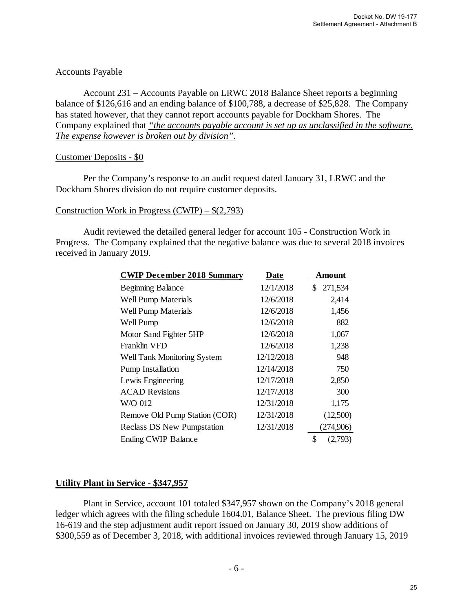# Accounts Payable

 Account 231 – Accounts Payable on LRWC 2018 Balance Sheet reports a beginning balance of \$126,616 and an ending balance of \$100,788, a decrease of \$25,828. The Company has stated however, that they cannot report accounts payable for Dockham Shores. The Company explained that *"the accounts payable account is set up as unclassified in the software. The expense however is broken out by division".*

# Customer Deposits - \$0

 Per the Company's response to an audit request dated January 31, LRWC and the Dockham Shores division do not require customer deposits.

#### Construction Work in Progress (CWIP) – \$(2,793)

Audit reviewed the detailed general ledger for account 105 - Construction Work in Progress. The Company explained that the negative balance was due to several 2018 invoices received in January 2019.

| <b>CWIP December 2018 Summary</b> | <b>Date</b> | Amount        |
|-----------------------------------|-------------|---------------|
| <b>Beginning Balance</b>          | 12/1/2018   | 271,534<br>\$ |
| Well Pump Materials               | 12/6/2018   | 2,414         |
| Well Pump Materials               | 12/6/2018   | 1,456         |
| Well Pump                         | 12/6/2018   | 882           |
| Motor Sand Fighter 5HP            | 12/6/2018   | 1,067         |
| Franklin VFD                      | 12/6/2018   | 1,238         |
| Well Tank Monitoring System       | 12/12/2018  | 948           |
| <b>Pump Installation</b>          | 12/14/2018  | 750           |
| Lewis Engineering                 | 12/17/2018  | 2,850         |
| <b>ACAD</b> Revisions             | 12/17/2018  | 300           |
| W/O 012                           | 12/31/2018  | 1,175         |
| Remove Old Pump Station (COR)     | 12/31/2018  | (12,500)      |
| <b>Reclass DS New Pumpstation</b> | 12/31/2018  | (274,906)     |
| <b>Ending CWIP Balance</b>        |             | \$<br>(2,793) |

# **Utility Plant in Service - \$347,957**

Plant in Service, account 101 totaled \$347,957 shown on the Company's 2018 general ledger which agrees with the filing schedule 1604.01, Balance Sheet. The previous filing DW 16-619 and the step adjustment audit report issued on January 30, 2019 show additions of \$300,559 as of December 3, 2018, with additional invoices reviewed through January 15, 2019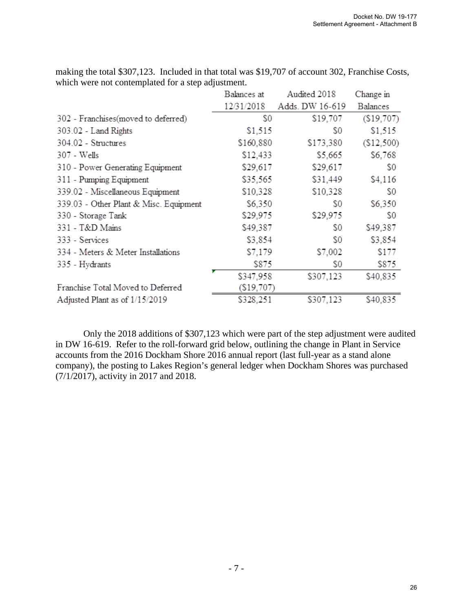|                                        | Balances at | Audited 2018    | Change in  |
|----------------------------------------|-------------|-----------------|------------|
|                                        | 12/31/2018  | Adds. DW 16-619 | Balances   |
| 302 - Franchises(moved to deferred)    | S0          | \$19,707        | (\$19,707) |
| 303.02 - Land Rights                   | \$1,515     | S0              | \$1,515    |
| 304.02 - Structures                    | \$160,880   | \$173,380       | (\$12,500) |
| 307 - Wells                            | \$12,433    | \$5,665         | \$6,768    |
| 310 - Power Generating Equipment       | \$29,617    | \$29,617        | S0         |
| 311 - Pumping Equipment                | \$35,565    | \$31,449        | \$4,116    |
| 339.02 - Miscellaneous Equipment       | \$10,328    | \$10,328        | S0         |
| 339.03 - Other Plant & Misc. Equipment | \$6,350     | S0              | \$6,350    |
| 330 - Storage Tank                     | \$29,975    | \$29,975        | S0         |
| 331 - T&D Mains                        | \$49,387    | S0              | \$49,387   |
| 333 - Services                         | \$3,854     | S0              | \$3,854    |
| 334 - Meters & Meter Installations     | \$7,179     | \$7,002         | \$177      |
| 335 - Hydrants                         | \$875       | S0              | \$875      |
|                                        | \$347,958   | \$307,123       | \$40,835   |
| Franchise Total Moved to Deferred      | (S19,707)   |                 |            |
| Adjusted Plant as of 1/15/2019         | \$328,251   | \$307,123       | \$40,835   |

making the total \$307,123. Included in that total was \$19,707 of account 302, Franchise Costs, which were not contemplated for a step adjustment.

 Only the 2018 additions of \$307,123 which were part of the step adjustment were audited in DW 16-619. Refer to the roll-forward grid below, outlining the change in Plant in Service accounts from the 2016 Dockham Shore 2016 annual report (last full-year as a stand alone company), the posting to Lakes Region's general ledger when Dockham Shores was purchased (7/1/2017), activity in 2017 and 2018.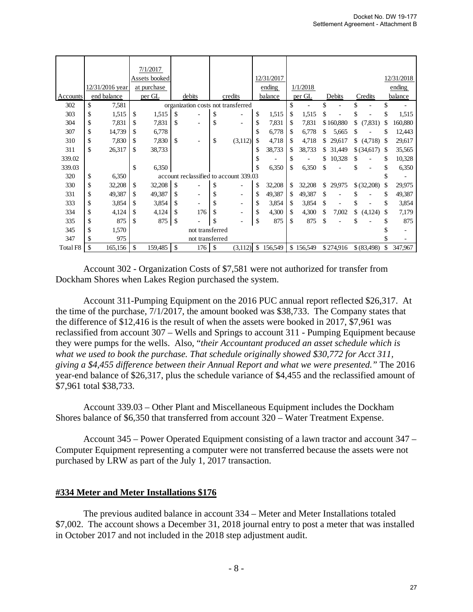|          |                 | 7/1/2017      |               |                 |                                        |    |            |    |           |    |           |    |             |    |            |
|----------|-----------------|---------------|---------------|-----------------|----------------------------------------|----|------------|----|-----------|----|-----------|----|-------------|----|------------|
|          |                 | Assets booked |               |                 |                                        |    | 12/31/2017 |    |           |    |           |    |             |    | 12/31/2018 |
|          | 12/31/2016 year | at purchase   |               |                 |                                        |    | ending     |    | 1/1/2018  |    |           |    |             |    | ending     |
| Accounts | end balance     | per GL        |               | debits          | credits                                |    | balance    |    | per GL    |    | Debits    |    | Credits     |    | balance    |
| 302      | \$<br>7,581     |               |               |                 | organization costs not transferred     |    |            | \$ |           | \$ |           |    |             | \$ |            |
| 303      | \$<br>1,515     | \$<br>1,515   | \$            |                 | \$                                     | \$ | 1,515      | \$ | 1,515     |    |           | \$ |             | \$ | 1,515      |
| 304      | \$<br>7,831     | \$<br>7,831   | \$            |                 | \$                                     | S  | 7,831      | \$ | 7,831     |    | \$160,880 | \$ | (7,831)     | S  | 160,880    |
| 307      | \$<br>14,739    | \$<br>6,778   |               |                 |                                        | \$ | 6,778      | \$ | 6,778     |    | 5,665     | S  |             |    | 12,443     |
| 310      | \$<br>7,830     | \$<br>7,830   | \$            |                 | \$<br>(3,112)                          | \$ | 4,718      | \$ | 4,718     | S  | 29,617    | \$ | (4,718)     | S  | 29,617     |
| 311      | \$<br>26,317    | \$<br>38,733  |               |                 |                                        | \$ | 38,733     | S  | 38,733    | S  | 31,449    |    | \$(34,617)  | -S | 35,565     |
| 339.02   |                 |               |               |                 |                                        | S  |            | \$ |           | \$ | 10,328    | S  |             | \$ | 10,328     |
| 339.03   |                 | \$<br>6,350   |               |                 |                                        |    | 6,350      |    | 6,350     | \$ |           | \$ |             | \$ | 6,350      |
| 320      | \$<br>6,350     |               |               |                 | account reclassified to account 339.03 |    |            |    |           |    |           |    |             | S  |            |
| 330      | \$<br>32,208    | \$<br>32,208  | \$            |                 | \$                                     |    | 32,208     | S. | 32,208    | \$ | 29,975    |    | \$(32,208)  | \$ | 29,975     |
| 331      | \$<br>49,387    | \$<br>49,387  | \$            |                 | \$                                     | \$ | 49,387     | \$ | 49,387    | \$ |           |    |             | \$ | 49,387     |
| 333      | \$<br>3,854     | \$<br>3,854   | \$            |                 | \$                                     | \$ | 3,854      | \$ | 3,854     | \$ |           | S  |             | \$ | 3,854      |
| 334      | \$<br>4,124     | \$<br>4,124   | \$            | 176             | \$                                     | \$ | 4,300      | \$ | 4,300     | \$ | 7,002     | \$ | (4,124)     | S  | 7,179      |
| 335      | \$<br>875       | \$<br>875     | $\mathcal{S}$ |                 | \$                                     | \$ | 875        | \$ | 875       | \$ |           |    |             |    | 875        |
| 345      | \$<br>1,570     |               |               | not transferred |                                        |    |            |    |           |    |           |    |             |    | ٠          |
| 347      | \$<br>975       |               |               | not transferred |                                        |    |            |    |           |    |           |    |             |    |            |
| Total F8 | \$<br>165,156   | \$<br>159,485 | \$            | 176             | \$<br>(3,112)                          | \$ | 156,549    |    | \$156,549 |    | \$274,916 |    | \$ (83,498) | \$ | 347,967    |

 Account 302 - Organization Costs of \$7,581 were not authorized for transfer from Dockham Shores when Lakes Region purchased the system.

Account 311-Pumping Equipment on the 2016 PUC annual report reflected \$26,317. At the time of the purchase, 7/1/2017, the amount booked was \$38,733. The Company states that the difference of \$12,416 is the result of when the assets were booked in 2017, \$7,961 was reclassified from account 307 – Wells and Springs to account 311 - Pumping Equipment because they were pumps for the wells. Also, "*their Accountant produced an asset schedule which is what we used to book the purchase. That schedule originally showed \$30,772 for Acct 311, giving a \$4,455 difference between their Annual Report and what we were presented."* The 2016 year-end balance of \$26,317, plus the schedule variance of \$4,455 and the reclassified amount of \$7,961 total \$38,733.

Account 339.03 – Other Plant and Miscellaneous Equipment includes the Dockham Shores balance of \$6,350 that transferred from account 320 – Water Treatment Expense.

 Account 345 – Power Operated Equipment consisting of a lawn tractor and account 347 – Computer Equipment representing a computer were not transferred because the assets were not purchased by LRW as part of the July 1, 2017 transaction.

#### **#334 Meter and Meter Installations \$176**

 The previous audited balance in account 334 – Meter and Meter Installations totaled \$7,002. The account shows a December 31, 2018 journal entry to post a meter that was installed in October 2017 and not included in the 2018 step adjustment audit.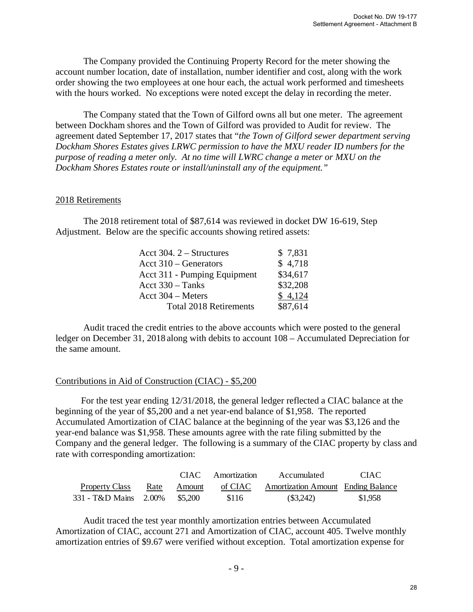The Company provided the Continuing Property Record for the meter showing the account number location, date of installation, number identifier and cost, along with the work order showing the two employees at one hour each, the actual work performed and timesheets with the hours worked. No exceptions were noted except the delay in recording the meter.

The Company stated that the Town of Gilford owns all but one meter. The agreement between Dockham shores and the Town of Gilford was provided to Audit for review. The agreement dated September 17, 2017 states that "*the Town of Gilford sewer department serving Dockham Shores Estates gives LRWC permission to have the MXU reader ID numbers for the purpose of reading a meter only. At no time will LWRC change a meter or MXU on the Dockham Shores Estates route or install/uninstall any of the equipment."*

#### 2018 Retirements

 The 2018 retirement total of \$87,614 was reviewed in docket DW 16-619, Step Adjustment. Below are the specific accounts showing retired assets:

| Acct 304. $2 -$ Structures    | \$7,831  |
|-------------------------------|----------|
| Acct $310 -$ Generators       | \$4,718  |
| Acct 311 - Pumping Equipment  | \$34,617 |
| Acct $330 - \text{Tanks}$     | \$32,208 |
| Acct $304 -$ Meters           | \$4,124  |
| <b>Total 2018 Retirements</b> | \$87,614 |

Audit traced the credit entries to the above accounts which were posted to the general ledger on December 31, 2018 along with debits to account 108 – Accumulated Depreciation for the same amount.

#### Contributions in Aid of Construction (CIAC) - \$5,200

 For the test year ending 12/31/2018, the general ledger reflected a CIAC balance at the beginning of the year of \$5,200 and a net year-end balance of \$1,958. The reported Accumulated Amortization of CIAC balance at the beginning of the year was \$3,126 and the year-end balance was \$1,958. These amounts agree with the rate filing submitted by the Company and the general ledger. The following is a summary of the CIAC property by class and rate with corresponding amortization:

|                       |      |         | CIAC Amortization | Accumulated                               | CIAC.   |
|-----------------------|------|---------|-------------------|-------------------------------------------|---------|
| <b>Property Class</b> | Rate | Amount  | of CIAC           | <b>Amortization Amount</b> Ending Balance |         |
| 331 - T&D Mains 2.00% |      | \$5.200 | \$116             | (S3,242)                                  | \$1,958 |

Audit traced the test year monthly amortization entries between Accumulated Amortization of CIAC, account 271 and Amortization of CIAC, account 405. Twelve monthly amortization entries of \$9.67 were verified without exception. Total amortization expense for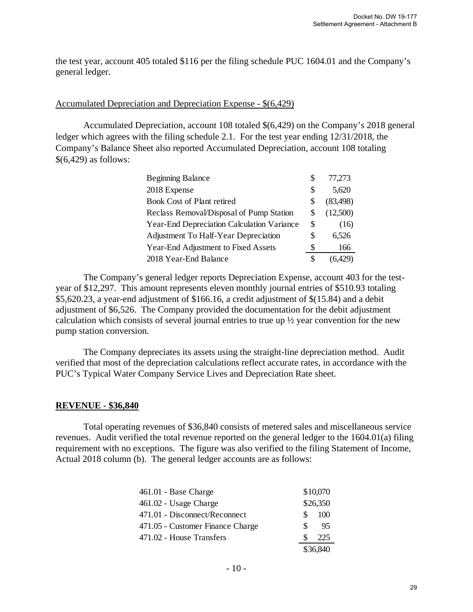the test year, account 405 totaled \$116 per the filing schedule PUC 1604.01 and the Company's general ledger.

#### Accumulated Depreciation and Depreciation Expense - \$(6,429)

Accumulated Depreciation, account 108 totaled \$(6,429) on the Company's 2018 general ledger which agrees with the filing schedule 2.1. For the test year ending 12/31/2018, the Company's Balance Sheet also reported Accumulated Depreciation, account 108 totaling \$(6,429) as follows:

| <b>Beginning Balance</b>                    | S  | 77,273    |
|---------------------------------------------|----|-----------|
| 2018 Expense                                | S  | 5,620     |
| <b>Book Cost of Plant retired</b>           | S  | (83, 498) |
| Reclass Removal/Disposal of Pump Station    | S  | (12,500)  |
| Year-End Depreciation Calculation Variance  | S  | (16)      |
| <b>Adjustment To Half-Year Depreciation</b> | \$ | 6,526     |
| Year-End Adjustment to Fixed Assets         | S  | 166       |
| 2018 Year-End Balance                       | S  | (6.429)   |

The Company's general ledger reports Depreciation Expense, account 403 for the testyear of \$12,297. This amount represents eleven monthly journal entries of \$510.93 totaling \$5,620.23, a year-end adjustment of \$166.16, a credit adjustment of \$(15.84) and a debit adjustment of \$6,526. The Company provided the documentation for the debit adjustment calculation which consists of several journal entries to true up ½ year convention for the new pump station conversion.

The Company depreciates its assets using the straight-line depreciation method. Audit verified that most of the depreciation calculations reflect accurate rates, in accordance with the PUC's Typical Water Company Service Lives and Depreciation Rate sheet.

#### **REVENUE - \$36,840**

Total operating revenues of \$36,840 consists of metered sales and miscellaneous service revenues. Audit verified the total revenue reported on the general ledger to the 1604.01(a) filing requirement with no exceptions. The figure was also verified to the filing Statement of Income, Actual 2018 column (b). The general ledger accounts are as follows:

| $461.01$ - Base Charge           |    | \$10,070 |
|----------------------------------|----|----------|
| 461.02 - Usage Charge            |    | \$26,350 |
| 471.01 - Disconnect/Reconnect    | S. | 100      |
| 471.05 - Customer Finance Charge | S. | 95       |
| 471.02 - House Transfers         |    | 225      |
|                                  |    | \$36,840 |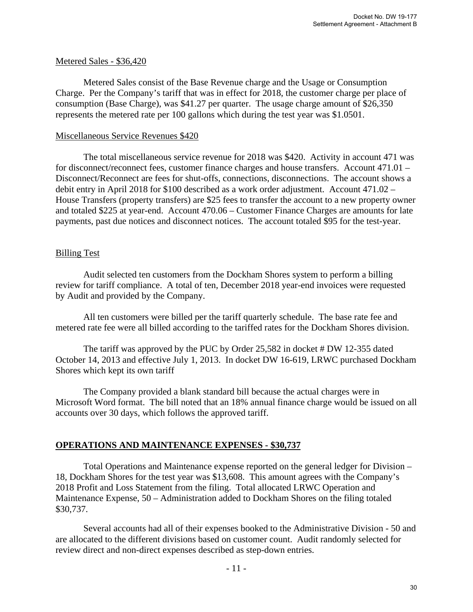#### Metered Sales - \$36,420

Metered Sales consist of the Base Revenue charge and the Usage or Consumption Charge. Per the Company's tariff that was in effect for 2018, the customer charge per place of consumption (Base Charge), was \$41.27 per quarter. The usage charge amount of \$26,350 represents the metered rate per 100 gallons which during the test year was \$1.0501.

#### Miscellaneous Service Revenues \$420

The total miscellaneous service revenue for 2018 was \$420. Activity in account 471 was for disconnect/reconnect fees, customer finance charges and house transfers. Account 471.01 – Disconnect/Reconnect are fees for shut-offs, connections, disconnections. The account shows a debit entry in April 2018 for \$100 described as a work order adjustment. Account 471.02 – House Transfers (property transfers) are \$25 fees to transfer the account to a new property owner and totaled \$225 at year-end. Account 470.06 – Customer Finance Charges are amounts for late payments, past due notices and disconnect notices. The account totaled \$95 for the test-year.

# Billing Test

Audit selected ten customers from the Dockham Shores system to perform a billing review for tariff compliance. A total of ten, December 2018 year-end invoices were requested by Audit and provided by the Company.

All ten customers were billed per the tariff quarterly schedule. The base rate fee and metered rate fee were all billed according to the tariffed rates for the Dockham Shores division.

The tariff was approved by the PUC by Order 25,582 in docket # DW 12-355 dated October 14, 2013 and effective July 1, 2013. In docket DW 16-619, LRWC purchased Dockham Shores which kept its own tariff

The Company provided a blank standard bill because the actual charges were in Microsoft Word format. The bill noted that an 18% annual finance charge would be issued on all accounts over 30 days, which follows the approved tariff.

# **OPERATIONS AND MAINTENANCE EXPENSES - \$30,737**

Total Operations and Maintenance expense reported on the general ledger for Division – 18, Dockham Shores for the test year was \$13,608. This amount agrees with the Company's 2018 Profit and Loss Statement from the filing. Total allocated LRWC Operation and Maintenance Expense, 50 – Administration added to Dockham Shores on the filing totaled \$30,737.

Several accounts had all of their expenses booked to the Administrative Division - 50 and are allocated to the different divisions based on customer count. Audit randomly selected for review direct and non-direct expenses described as step-down entries.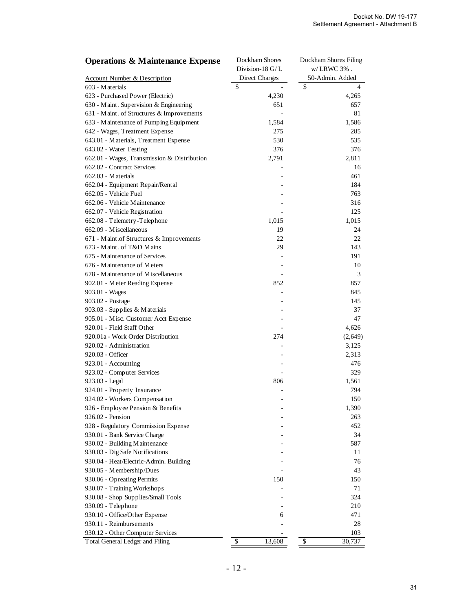| <b>Operations &amp; Maintenance Expense</b> | Dockham Shores<br>Dockham Shores Filing |                 |  |  |  |
|---------------------------------------------|-----------------------------------------|-----------------|--|--|--|
|                                             | Division-18 G/L                         | w/LRWC 3%.      |  |  |  |
| <b>Account Number &amp; Description</b>     | <b>Direct Charges</b>                   | 50-Admin. Added |  |  |  |
| 603 - Materials                             | \$                                      | \$<br>4         |  |  |  |
| 623 - Purchased Power (Electric)            | 4,230                                   | 4,265           |  |  |  |
| 630 - Maint. Supervision & Engineering      | 651                                     | 657             |  |  |  |
| 631 - Maint. of Structures & Improvements   |                                         | 81              |  |  |  |
| 633 - Maintenance of Pumping Equipment      | 1,584                                   | 1,586           |  |  |  |
| 642 - Wages, Treatment Expense              | 275                                     | 285             |  |  |  |
| 643.01 - Materials, Treatment Expense       | 530                                     | 535             |  |  |  |
| 643.02 - Water Testing                      | 376                                     | 376             |  |  |  |
| 662.01 - Wages, Transmission & Distribution | 2,791                                   | 2,811           |  |  |  |
| 662.02 - Contract Services                  |                                         | 16              |  |  |  |
| 662.03 - Materials                          |                                         | 461             |  |  |  |
| 662.04 - Equipment Repair/Rental            |                                         | 184             |  |  |  |
| 662.05 - Vehicle Fuel                       |                                         | 763             |  |  |  |
| 662.06 - Vehicle Maintenance                |                                         | 316             |  |  |  |
| 662.07 - Vehicle Registration               |                                         | 125             |  |  |  |
| 662.08 - Telemetry-Telephone                | 1,015                                   | 1,015           |  |  |  |
| 662.09 - Miscellaneous                      | 19                                      | 24              |  |  |  |
| 671 - Maint.of Structures & Improvements    | 22                                      | 22              |  |  |  |
| 673 - Maint. of T&D Mains                   | 29                                      | 143             |  |  |  |
| 675 - Maintenance of Services               |                                         | 191             |  |  |  |
| 676 - Maintenance of Meters                 |                                         | 10              |  |  |  |
| 678 - Maintenance of Miscellaneous          |                                         | 3               |  |  |  |
|                                             |                                         |                 |  |  |  |
| 902.01 - Meter Reading Expense              | 852                                     | 857             |  |  |  |
| 903.01 - Wages                              |                                         | 845             |  |  |  |
| 903.02 - Postage                            |                                         | 145             |  |  |  |
| 903.03 - Supplies & Materials               |                                         | 37              |  |  |  |
| 905.01 - Misc. Customer Acct Expense        |                                         | 47              |  |  |  |
| 920.01 - Field Staff Other                  |                                         | 4,626           |  |  |  |
| 920.01a - Work Order Distribution           | 274                                     | (2,649)         |  |  |  |
| 920.02 - Administration                     |                                         | 3,125           |  |  |  |
| 920.03 - Officer                            |                                         | 2,313           |  |  |  |
| 923.01 - Accounting                         |                                         | 476             |  |  |  |
| 923.02 - Computer Services                  |                                         | 329             |  |  |  |
| 923.03 - Legal                              | 806                                     | 1,561           |  |  |  |
| 924.01 - Property Insurance                 |                                         | 794             |  |  |  |
| 924.02 - Workers Compensation               |                                         | 150             |  |  |  |
| 926 - Employee Pension & Benefits           |                                         | 1,390           |  |  |  |
| 926.02 - Pension                            |                                         | 263             |  |  |  |
| 928 - Regulatory Commission Expense         |                                         | 452             |  |  |  |
| 930.01 - Bank Service Charge                |                                         | 34              |  |  |  |
| 930.02 - Building Maintenance               |                                         | 587             |  |  |  |
| 930.03 - Dig Safe Notifications             |                                         | 11              |  |  |  |
| 930.04 - Heat/Electric-Admin. Building      |                                         | 76              |  |  |  |
| 930.05 - Membership/Dues                    |                                         | 43              |  |  |  |
| 930.06 - Opreating Permits                  | 150                                     | 150             |  |  |  |
| 930.07 - Training Workshops                 |                                         | 71              |  |  |  |
| 930.08 - Shop Supplies/Small Tools          |                                         | 324             |  |  |  |
| 930.09 - Telephone                          |                                         | 210             |  |  |  |
| 930.10 - Office/Other Expense               | 6                                       | 471             |  |  |  |
| 930.11 - Reimbursements                     |                                         | 28              |  |  |  |
| 930.12 - Other Computer Services            |                                         | 103             |  |  |  |
| Total General Ledger and Filing             | \$<br>13,608                            | \$<br>30,737    |  |  |  |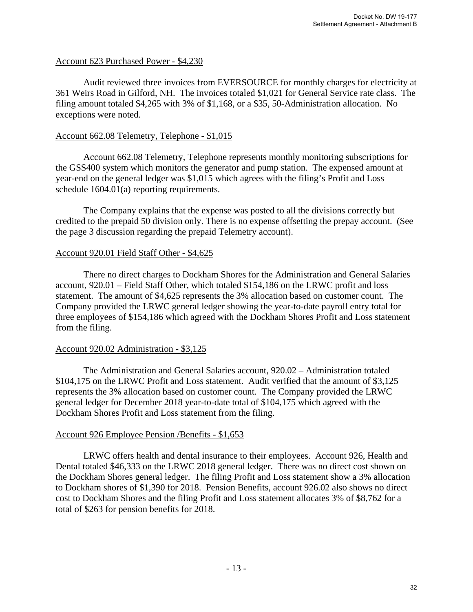#### Account 623 Purchased Power - \$4,230

Audit reviewed three invoices from EVERSOURCE for monthly charges for electricity at 361 Weirs Road in Gilford, NH. The invoices totaled \$1,021 for General Service rate class. The filing amount totaled \$4,265 with 3% of \$1,168, or a \$35, 50-Administration allocation. No exceptions were noted.

#### Account 662.08 Telemetry, Telephone - \$1,015

 Account 662.08 Telemetry, Telephone represents monthly monitoring subscriptions for the GSS400 system which monitors the generator and pump station. The expensed amount at year-end on the general ledger was \$1,015 which agrees with the filing's Profit and Loss schedule 1604.01(a) reporting requirements.

 The Company explains that the expense was posted to all the divisions correctly but credited to the prepaid 50 division only. There is no expense offsetting the prepay account. (See the page 3 discussion regarding the prepaid Telemetry account).

#### Account 920.01 Field Staff Other - \$4,625

 There no direct charges to Dockham Shores for the Administration and General Salaries account, 920.01 – Field Staff Other, which totaled \$154,186 on the LRWC profit and loss statement. The amount of \$4,625 represents the 3% allocation based on customer count. The Company provided the LRWC general ledger showing the year-to-date payroll entry total for three employees of \$154,186 which agreed with the Dockham Shores Profit and Loss statement from the filing.

#### Account 920.02 Administration - \$3,125

 The Administration and General Salaries account, 920.02 – Administration totaled \$104,175 on the LRWC Profit and Loss statement. Audit verified that the amount of \$3,125 represents the 3% allocation based on customer count. The Company provided the LRWC general ledger for December 2018 year-to-date total of \$104,175 which agreed with the Dockham Shores Profit and Loss statement from the filing.

#### Account 926 Employee Pension /Benefits - \$1,653

LRWC offers health and dental insurance to their employees. Account 926, Health and Dental totaled \$46,333 on the LRWC 2018 general ledger. There was no direct cost shown on the Dockham Shores general ledger. The filing Profit and Loss statement show a 3% allocation to Dockham shores of \$1,390 for 2018. Pension Benefits, account 926.02 also shows no direct cost to Dockham Shores and the filing Profit and Loss statement allocates 3% of \$8,762 for a total of \$263 for pension benefits for 2018.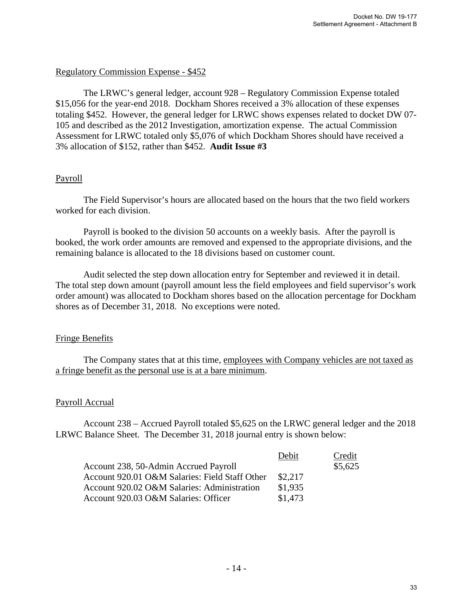# Regulatory Commission Expense - \$452

The LRWC's general ledger, account 928 – Regulatory Commission Expense totaled \$15,056 for the year-end 2018. Dockham Shores received a 3% allocation of these expenses totaling \$452. However, the general ledger for LRWC shows expenses related to docket DW 07- 105 and described as the 2012 Investigation, amortization expense. The actual Commission Assessment for LRWC totaled only \$5,076 of which Dockham Shores should have received a 3% allocation of \$152, rather than \$452. **Audit Issue #3**

# Payroll

The Field Supervisor's hours are allocated based on the hours that the two field workers worked for each division.

Payroll is booked to the division 50 accounts on a weekly basis. After the payroll is booked, the work order amounts are removed and expensed to the appropriate divisions, and the remaining balance is allocated to the 18 divisions based on customer count.

Audit selected the step down allocation entry for September and reviewed it in detail. The total step down amount (payroll amount less the field employees and field supervisor's work order amount) was allocated to Dockham shores based on the allocation percentage for Dockham shores as of December 31, 2018. No exceptions were noted.

#### Fringe Benefits

 The Company states that at this time, employees with Company vehicles are not taxed as a fringe benefit as the personal use is at a bare minimum.

#### Payroll Accrual

 Account 238 – Accrued Payroll totaled \$5,625 on the LRWC general ledger and the 2018 LRWC Balance Sheet. The December 31, 2018 journal entry is shown below:

|                                                | Debit   | Credit  |
|------------------------------------------------|---------|---------|
| Account 238, 50-Admin Accrued Payroll          |         | \$5,625 |
| Account 920.01 O&M Salaries: Field Staff Other | \$2,217 |         |
| Account 920.02 O&M Salaries: Administration    | \$1,935 |         |
| Account 920.03 O&M Salaries: Officer           | \$1,473 |         |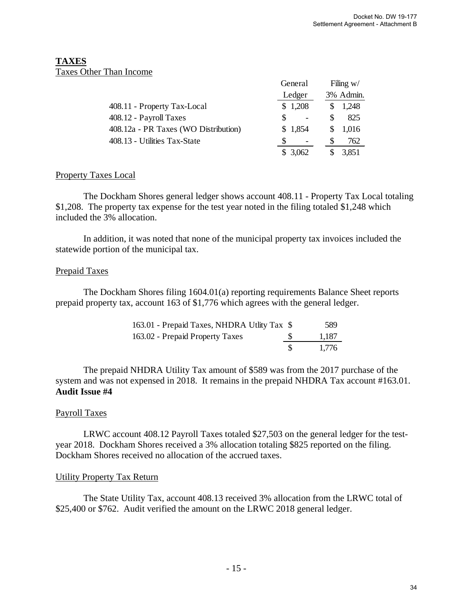#### **TAXES** Taxes Other Than Income

|                                      | General     | Filing $w/$ |
|--------------------------------------|-------------|-------------|
|                                      | Ledger      | 3% Admin.   |
| 408.11 - Property Tax-Local          | \$1,208     | 1,248       |
| 408.12 - Payroll Taxes               |             | 825         |
| 408.12a - PR Taxes (WO Distribution) | 1,854<br>S. | 1,016       |
| 408.13 - Utilities Tax-State         |             | 762         |
|                                      | 3.062       | 3,851       |

# Property Taxes Local

 The Dockham Shores general ledger shows account 408.11 - Property Tax Local totaling \$1,208. The property tax expense for the test year noted in the filing totaled \$1,248 which included the 3% allocation.

 In addition, it was noted that none of the municipal property tax invoices included the statewide portion of the municipal tax.

# Prepaid Taxes

The Dockham Shores filing 1604.01(a) reporting requirements Balance Sheet reports prepaid property tax, account 163 of \$1,776 which agrees with the general ledger.

| 163.01 - Prepaid Taxes, NHDRA Utlity Tax \$ | 589   |
|---------------------------------------------|-------|
| 163.02 - Prepaid Property Taxes             | 1.187 |
|                                             | 1.776 |

The prepaid NHDRA Utility Tax amount of \$589 was from the 2017 purchase of the system and was not expensed in 2018. It remains in the prepaid NHDRA Tax account #163.01. **Audit Issue #4**

#### Payroll Taxes

 LRWC account 408.12 Payroll Taxes totaled \$27,503 on the general ledger for the testyear 2018. Dockham Shores received a 3% allocation totaling \$825 reported on the filing. Dockham Shores received no allocation of the accrued taxes.

#### Utility Property Tax Return

The State Utility Tax, account 408.13 received 3% allocation from the LRWC total of \$25,400 or \$762. Audit verified the amount on the LRWC 2018 general ledger.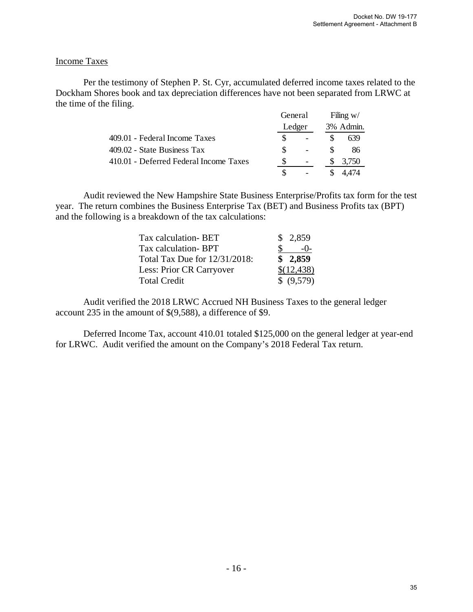# Income Taxes

 Per the testimony of Stephen P. St. Cyr, accumulated deferred income taxes related to the Dockham Shores book and tax depreciation differences have not been separated from LRWC at the time of the filing.

|                                        |  | General<br>Ledger |  | Filing $w/$ |  |  |
|----------------------------------------|--|-------------------|--|-------------|--|--|
|                                        |  |                   |  | 3% Admin.   |  |  |
| 409.01 - Federal Income Taxes          |  |                   |  | 639         |  |  |
| 409.02 - State Business Tax            |  |                   |  | 86          |  |  |
| 410.01 - Deferred Federal Income Taxes |  |                   |  | 3,750       |  |  |
|                                        |  |                   |  |             |  |  |

Audit reviewed the New Hampshire State Business Enterprise/Profits tax form for the test year. The return combines the Business Enterprise Tax (BET) and Business Profits tax (BPT) and the following is a breakdown of the tax calculations:

| Tax calculation-BET           | \$2,859    |
|-------------------------------|------------|
| Tax calculation-BPT           | $-()$      |
| Total Tax Due for 12/31/2018: | \$2,859    |
| Less: Prior CR Carryover      | \$(12,438) |
| <b>Total Credit</b>           | \$ (9,579) |

 Audit verified the 2018 LRWC Accrued NH Business Taxes to the general ledger account 235 in the amount of \$(9,588), a difference of \$9.

Deferred Income Tax, account 410.01 totaled \$125,000 on the general ledger at year-end for LRWC. Audit verified the amount on the Company's 2018 Federal Tax return.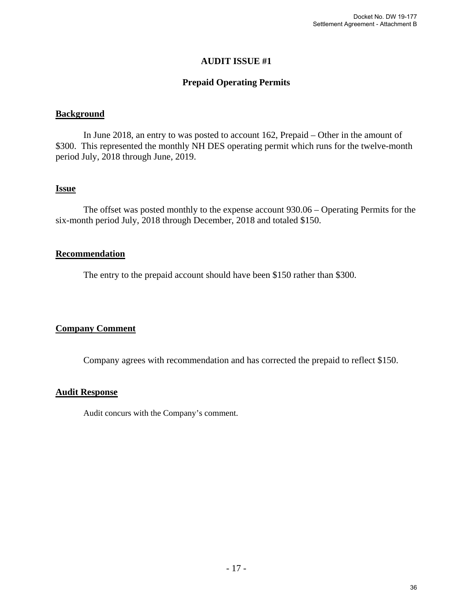# **Prepaid Operating Permits**

#### **Background**

 In June 2018, an entry to was posted to account 162, Prepaid – Other in the amount of \$300. This represented the monthly NH DES operating permit which runs for the twelve-month period July, 2018 through June, 2019.

#### **Issue**

 The offset was posted monthly to the expense account 930.06 – Operating Permits for the six-month period July, 2018 through December, 2018 and totaled \$150.

#### **Recommendation**

The entry to the prepaid account should have been \$150 rather than \$300.

#### **Company Comment**

Company agrees with recommendation and has corrected the prepaid to reflect \$150.

#### **Audit Response**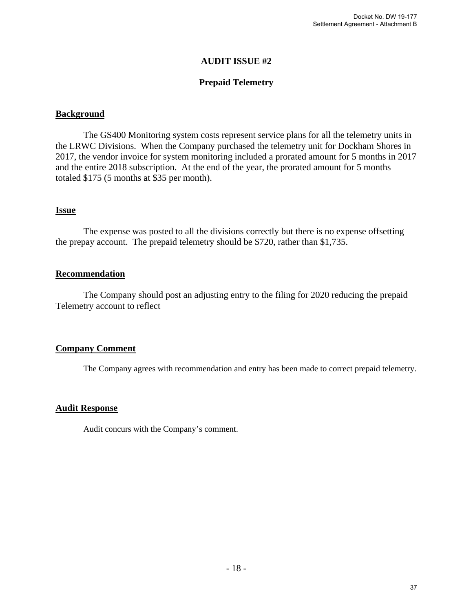# **Prepaid Telemetry**

#### **Background**

 The GS400 Monitoring system costs represent service plans for all the telemetry units in the LRWC Divisions. When the Company purchased the telemetry unit for Dockham Shores in 2017, the vendor invoice for system monitoring included a prorated amount for 5 months in 2017 and the entire 2018 subscription. At the end of the year, the prorated amount for 5 months totaled \$175 (5 months at \$35 per month).

#### **Issue**

 The expense was posted to all the divisions correctly but there is no expense offsetting the prepay account. The prepaid telemetry should be \$720, rather than \$1,735.

# **Recommendation**

 The Company should post an adjusting entry to the filing for 2020 reducing the prepaid Telemetry account to reflect

#### **Company Comment**

The Company agrees with recommendation and entry has been made to correct prepaid telemetry.

#### **Audit Response**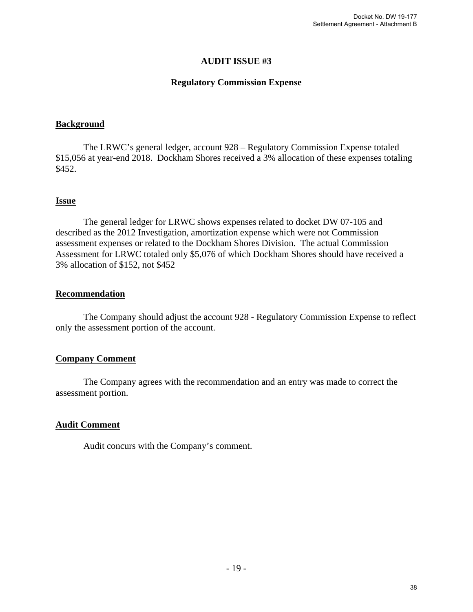### **Regulatory Commission Expense**

#### **Background**

 The LRWC's general ledger, account 928 – Regulatory Commission Expense totaled \$15,056 at year-end 2018. Dockham Shores received a 3% allocation of these expenses totaling \$452.

#### **Issue**

The general ledger for LRWC shows expenses related to docket DW 07-105 and described as the 2012 Investigation, amortization expense which were not Commission assessment expenses or related to the Dockham Shores Division. The actual Commission Assessment for LRWC totaled only \$5,076 of which Dockham Shores should have received a 3% allocation of \$152, not \$452

#### **Recommendation**

The Company should adjust the account 928 - Regulatory Commission Expense to reflect only the assessment portion of the account.

#### **Company Comment**

 The Company agrees with the recommendation and an entry was made to correct the assessment portion.

#### **Audit Comment**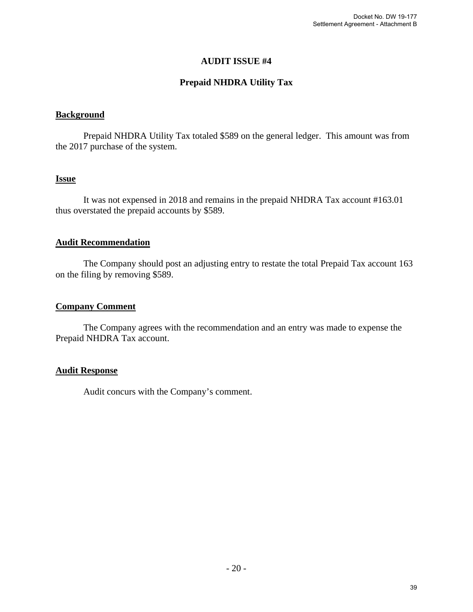# **Prepaid NHDRA Utility Tax**

#### **Background**

 Prepaid NHDRA Utility Tax totaled \$589 on the general ledger. This amount was from the 2017 purchase of the system.

# **Issue**

 It was not expensed in 2018 and remains in the prepaid NHDRA Tax account #163.01 thus overstated the prepaid accounts by \$589.

#### **Audit Recommendation**

 The Company should post an adjusting entry to restate the total Prepaid Tax account 163 on the filing by removing \$589.

#### **Company Comment**

The Company agrees with the recommendation and an entry was made to expense the Prepaid NHDRA Tax account.

#### **Audit Response**